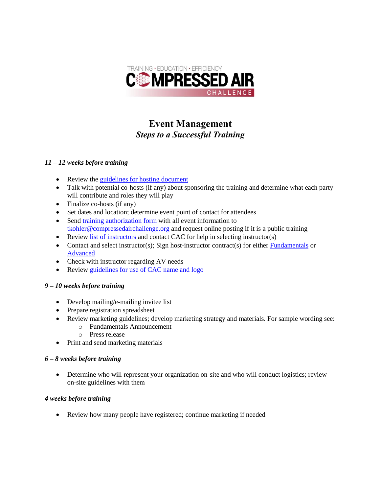

# **Event Management** *Steps to a Successful Training*

## *11 – 12 weeks before training*

- Review the [guidelines for hosting document](https://www.compressedairchallenge.org/Data/Sites/1/media/hosting/guidelines/guidelines-for-hosting-compressed-air-challenge-training-updated-september-2017.pdf)
- Talk with potential co-hosts (if any) about sponsoring the training and determine what each party will contribute and roles they will play
- Finalize co-hosts (if any)
- Set dates and location; determine event point of contact for attendees
- Sen[d training authorization form](https://www.compressedairchallenge.org/Data/Sites/1/media/hosting/guidelines/training-authorization-form-updated-september-2017.pdf) with all event information to [tkohler@compressedairchallenge.org](mailto:tkohler@compressedairchallenge.org) and request online posting if it is a public training
- Review [list of instructors](http://www.compressedairchallenge.org/instructors) and contact CAC for help in selecting instructor(s)
- Contact and select instructor(s); Sign host-instructor contract(s) for either [Fundamentals](https://www.compressedairchallenge.org/Data/Sites/1/media/hosting/materials/host-instructor-contract-fundamentals-revised-september-2017.pdf) or [Advanced](https://www.compressedairchallenge.org/Data/Sites/1/media/hosting/materials/host-instructor-contract-advanced-revised-september-2017.pdf)
- Check with instructor regarding AV needs
- Review [guidelines for use of CAC name and logo](http://www.compressedairchallenge.org/hosting/onsite/Logo_Guidelines.pdf)

## *9 – 10 weeks before training*

- Develop mailing/e-mailing invitee list
- Prepare registration spreadsheet
- Review marketing guidelines; develop marketing strategy and materials. For sample wording see:
	- o Fundamentals Announcement
	- o Press release
- Print and send marketing materials

## *6 – 8 weeks before training*

 Determine who will represent your organization on-site and who will conduct logistics; review on-site guidelines with them

## *4 weeks before training*

Review how many people have registered; continue marketing if needed